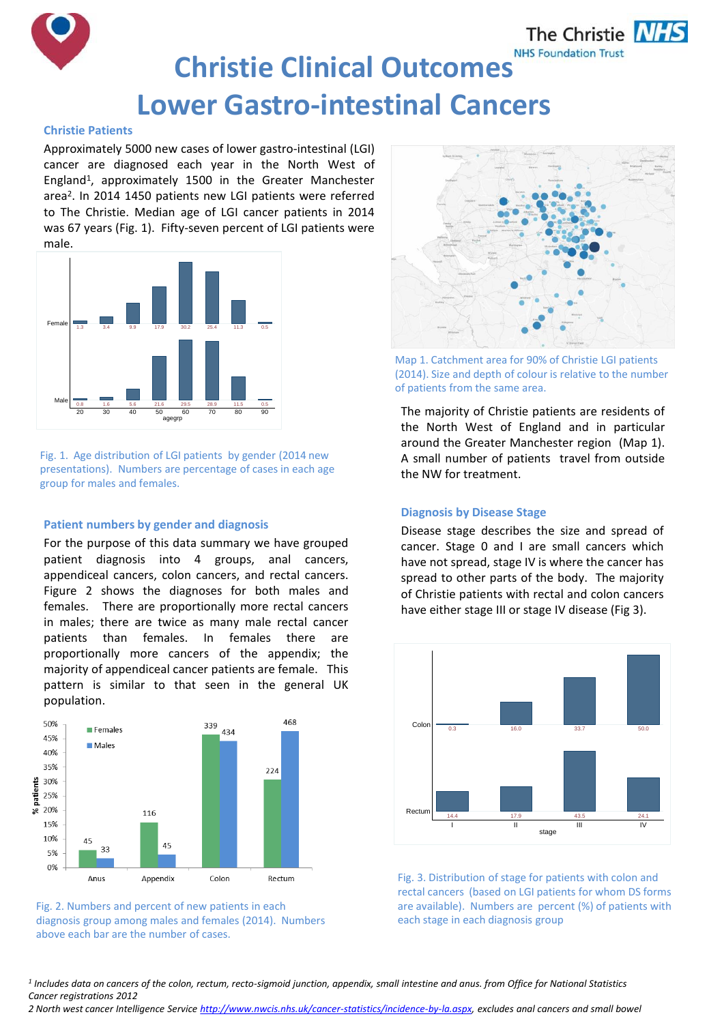

# **Christie Clinical Outcomes Lower Gastro-intestinal Cancers**

## **Christie Patients**

Approximately 5000 new cases of lower gastro-intestinal (LGI) cancer are diagnosed each year in the North West of England<sup>1</sup> , approximately 1500 in the Greater Manchester area<sup>2</sup>. In 2014 1450 patients new LGI patients were referred to The Christie. Median age of LGI cancer patients in 2014 was 67 years (Fig. 1). Fifty-seven percent of LGI patients were male.



Fig. 1. Age distribution of LGI patients by gender (2014 new presentations). Numbers are percentage of cases in each age group for males and females.

## **Patient numbers by gender and diagnosis**

For the purpose of this data summary we have grouped patient diagnosis into 4 groups, anal cancers, appendiceal cancers, colon cancers, and rectal cancers. Figure 2 shows the diagnoses for both males and females. There are proportionally more rectal cancers in males; there are twice as many male rectal cancer patients than females. In females there are proportionally more cancers of the appendix; the majority of appendiceal cancer patients are female. This pattern is similar to that seen in the general UK population.



Fig. 2. Numbers and percent of new patients in each diagnosis group among males and females (2014). Numbers above each bar are the number of cases.



Map 1. Catchment area for 90% of Christie LGI patients (2014). Size and depth of colour is relative to the number of patients from the same area.

The majority of Christie patients are residents of the North West of England and in particular around the Greater Manchester region (Map 1). A small number of patients travel from outside the NW for treatment.

## **Diagnosis by Disease Stage**

Disease stage describes the size and spread of cancer. Stage 0 and I are small cancers which have not spread, stage IV is where the cancer has spread to other parts of the body. The majority of Christie patients with rectal and colon cancers have either stage III or stage IV disease (Fig 3).



Fig. 3. Distribution of stage for patients with colon and rectal cancers (based on LGI patients for whom DS forms are available). Numbers are percent (%) of patients with each stage in each diagnosis group

*1 Includes data on cancers of the colon, rectum, recto-sigmoid junction, appendix, small intestine and anus. from Office for National Statistics Cancer registrations 2012*

*2 North west cancer Intelligence Service [http://www.nwcis.nhs.uk/cancer-statistics/incidence-by-la.aspx,](http://www.nwcis.nhs.uk/cancer-statistics/incidence-by-la.aspx) excludes anal cancers and small bowel*